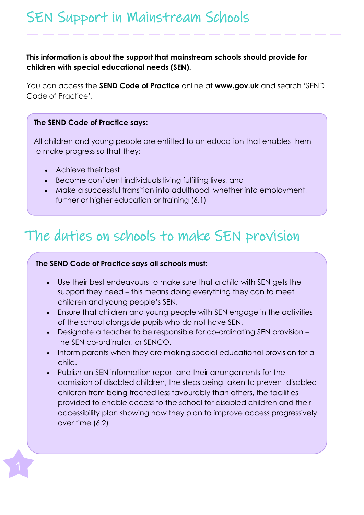# SEN Support in Mainstream Schools

### **This information is about the support that mainstream schools should provide for children with special educational needs (SEN).**

You can access the **SEND Code of Practice** online at **[www.gov.uk](http://www.gov.uk/)** and search 'SEND Code of Practice'.

#### **The SEND Code of Practice says:**

All children and young people are entitled to an education that enables them to make progress so that they:

- Achieve their best
- Become confident individuals living fulfilling lives, and
- Make a successful transition into adulthood, whether into employment, further or higher education or training (6.1)

## The duties on schools to make SEN provision

### **The SEND Code of Practice says all schools must:**

- Use their best endeavours to make sure that a child with SEN gets the support they need – this means doing everything they can to meet children and young people's SEN.
- Ensure that children and young people with SEN engage in the activities of the school alongside pupils who do not have SEN.
- Designate a teacher to be responsible for co-ordinating SEN provision the SEN co-ordinator, or SENCO.
- Inform parents when they are making special educational provision for a child.
- Publish an SEN information report and their arrangements for the admission of disabled children, the steps being taken to prevent disabled children from being treated less favourably than others, the facilities provided to enable access to the school for disabled children and their accessibility plan showing how they plan to improve access progressively over time (6.2)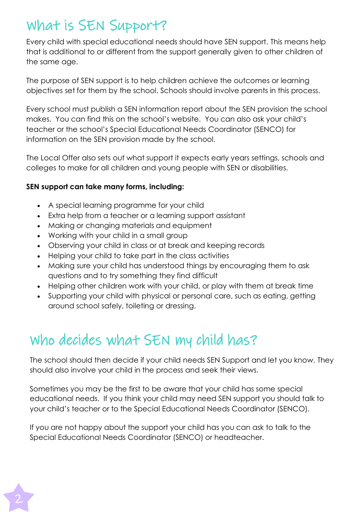# What is SEN Support?

Every child with special educational needs should have SEN support. This means help that is additional to or different from the support generally given to other children of the same age.

The purpose of SEN support is to help children achieve the outcomes or learning objectives set for them by the school. Schools should involve parents in this process.

Every school must publish a SEN information report about the SEN provision the school makes. You can find this on the school's website. You can also ask your child's teacher or the school's Special Educational Needs Coordinator (SENCO) for information on the SEN provision made by the school.

The Local Offer also sets out what support it expects early years settings, schools and colleges to make for all children and young people with SEN or disabilities.

### **SEN support can take many forms, including:**

- A special learning programme for your child
- Extra help from a teacher or a learning support assistant
- Making or changing materials and equipment
- Working with your child in a small group
- Observing your child in class or at break and keeping records
- Helping your child to take part in the class activities
- Making sure your child has understood things by encouraging them to ask questions and to try something they find difficult
- Helping other children work with your child, or play with them at break time
- Supporting your child with physical or personal care, such as eating, getting around school safely, toileting or dressing.

# Who decides what SEN my child has?

The school should then decide if your child needs SEN Support and let you know. They should also involve your child in the process and seek their views.

Sometimes you may be the first to be aware that your child has some special educational needs. If you think your child may need SEN support you should talk to your child's teacher or to the Special Educational Needs Coordinator (SENCO).

If you are not happy about the support your child has you can ask to talk to the Special Educational Needs Coordinator (SENCO) or headteacher.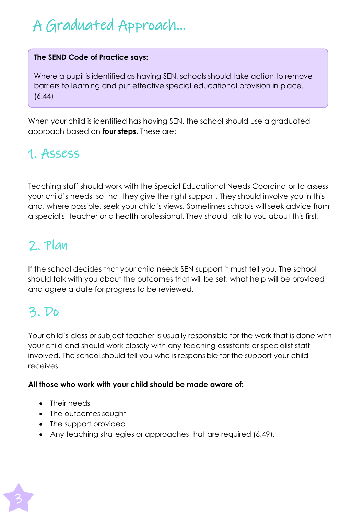# A Graduated Approach…

### **The SEND Code of Practice says:**

Where a pupil is identified as having SEN, schools should take action to remove barriers to learning and put effective special educational provision in place. (6.44)

When your child is identified has having SEN, the school should use a graduated approach based on **four steps**. These are:

### 1. Assess

Teaching staff should work with the Special Educational Needs Coordinator to assess your child's needs, so that they give the right support. They should involve you in this and, where possible, seek your child's views. Sometimes schools will seek advice from a specialist teacher or a health professional. They should talk to you about this first.

### 2. Plan

If the school decides that your child needs SEN support it must tell you. The school should talk with you about the outcomes that will be set, what help will be provided and agree a date for progress to be reviewed.

### 3. Do

Your child's class or subject teacher is usually responsible for the work that is done with your child and should work closely with any teaching assistants or specialist staff involved. The school should tell you who is responsible for the support your child receives.

#### **All those who work with your child should be made aware of:**

- Their needs
- The outcomes sought
- The support provided
- Any teaching strategies or approaches that are required (6.49).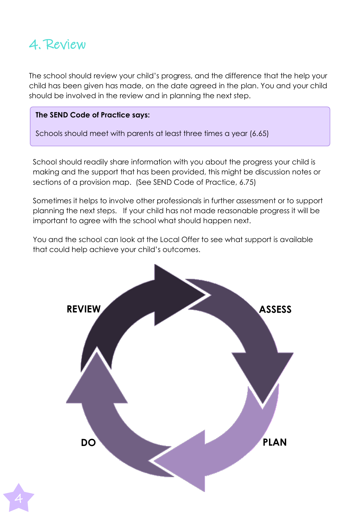

4

The school should review your child's progress, and the difference that the help your child has been given has made, on the date agreed in the plan. You and your child should be involved in the review and in planning the next step.

#### **The SEND Code of Practice says:**

Schools should meet with parents at least three times a year (6.65)

School should readily share information with you about the progress your child is making and the support that has been provided, this might be discussion notes or sections of a provision map. (See SEND Code of Practice, 6.75)

Sometimes it helps to involve other professionals in further assessment or to support planning the next steps. If your child has not made reasonable progress it will be important to agree with the school what should happen next.

You and the school can look at the Local Offer to see what support is available that could help achieve your child's outcomes.

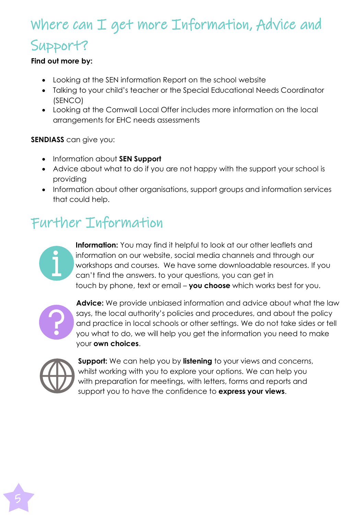# Where can I get more Information, Advice and Support?

### **Find out more by:**

- Looking at the SEN information Report on the school website
- Talking to your child's teacher or the Special Educational Needs Coordinator (SENCO)
- Looking at the Cornwall Local Offer includes more information on the local arrangements for EHC needs assessments

**SENDIASS** can give you:

- Information about **SEN Support**
- Advice about what to do if you are not happy with the support your school is providing
- Information about other organisations, support groups and information services that could help.

# Further Information



**Information:** You may find it helpful to look at our other leaflets and information on our website, social media channels and through our workshops and courses. We have some downloadable resources. If you can't find the answers. to your questions, you can get in touch by phone, text or email – **you choose** which works best for you.



**Advice:** We provide unbiased information and advice about what the law says, the local authority's policies and procedures, and about the policy and practice in local schools or other settings. We do not take sides or tell you what to do, we will help you get the information you need to make your **own choices**.



**Support:** We can help you by **listening** to your views and concerns, whilst working with you to explore your options. We can help you with preparation for meetings, with letters, forms and reports and support you to have the confidence to **express your views**.